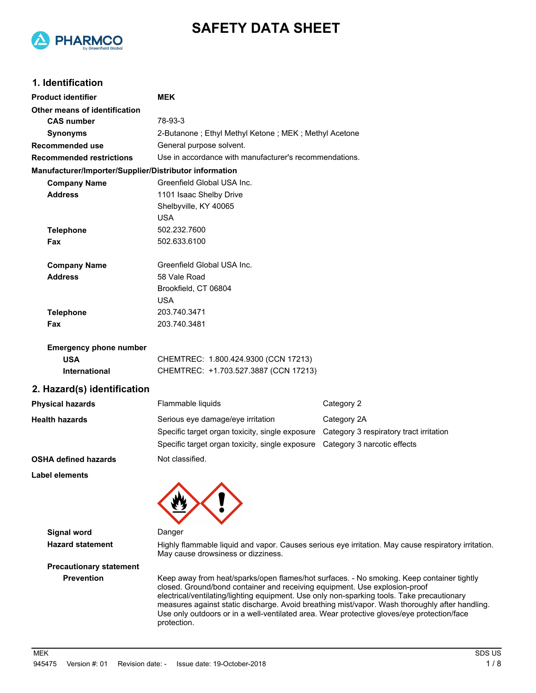

# **SAFETY DATA SHEET**

# **1. Identification**

| <b>Product identifier</b>                              | <b>MEK</b>                                                                                                                                                                                                                                                                                                                                                                         |                                                                                                |  |
|--------------------------------------------------------|------------------------------------------------------------------------------------------------------------------------------------------------------------------------------------------------------------------------------------------------------------------------------------------------------------------------------------------------------------------------------------|------------------------------------------------------------------------------------------------|--|
| Other means of identification                          |                                                                                                                                                                                                                                                                                                                                                                                    |                                                                                                |  |
| <b>CAS number</b>                                      | 78-93-3                                                                                                                                                                                                                                                                                                                                                                            |                                                                                                |  |
| <b>Synonyms</b>                                        | 2-Butanone; Ethyl Methyl Ketone; MEK; Methyl Acetone                                                                                                                                                                                                                                                                                                                               |                                                                                                |  |
| <b>Recommended use</b>                                 | General purpose solvent.                                                                                                                                                                                                                                                                                                                                                           |                                                                                                |  |
| <b>Recommended restrictions</b>                        | Use in accordance with manufacturer's recommendations.                                                                                                                                                                                                                                                                                                                             |                                                                                                |  |
| Manufacturer/Importer/Supplier/Distributor information |                                                                                                                                                                                                                                                                                                                                                                                    |                                                                                                |  |
| <b>Company Name</b>                                    | Greenfield Global USA Inc.                                                                                                                                                                                                                                                                                                                                                         |                                                                                                |  |
| <b>Address</b>                                         | 1101 Isaac Shelby Drive                                                                                                                                                                                                                                                                                                                                                            |                                                                                                |  |
|                                                        | Shelbyville, KY 40065                                                                                                                                                                                                                                                                                                                                                              |                                                                                                |  |
|                                                        | <b>USA</b>                                                                                                                                                                                                                                                                                                                                                                         |                                                                                                |  |
| <b>Telephone</b>                                       | 502.232.7600                                                                                                                                                                                                                                                                                                                                                                       |                                                                                                |  |
| Fax                                                    | 502.633.6100                                                                                                                                                                                                                                                                                                                                                                       |                                                                                                |  |
| <b>Company Name</b>                                    | Greenfield Global USA Inc.                                                                                                                                                                                                                                                                                                                                                         |                                                                                                |  |
| <b>Address</b>                                         | 58 Vale Road                                                                                                                                                                                                                                                                                                                                                                       |                                                                                                |  |
|                                                        | Brookfield, CT 06804                                                                                                                                                                                                                                                                                                                                                               |                                                                                                |  |
|                                                        | <b>USA</b>                                                                                                                                                                                                                                                                                                                                                                         |                                                                                                |  |
| <b>Telephone</b>                                       | 203.740.3471                                                                                                                                                                                                                                                                                                                                                                       |                                                                                                |  |
| Fax                                                    | 203.740.3481                                                                                                                                                                                                                                                                                                                                                                       |                                                                                                |  |
| <b>Emergency phone number</b>                          |                                                                                                                                                                                                                                                                                                                                                                                    |                                                                                                |  |
| <b>USA</b>                                             | CHEMTREC: 1.800.424.9300 (CCN 17213)                                                                                                                                                                                                                                                                                                                                               |                                                                                                |  |
| <b>International</b>                                   | CHEMTREC: +1.703.527.3887 (CCN 17213)                                                                                                                                                                                                                                                                                                                                              |                                                                                                |  |
| 2. Hazard(s) identification                            |                                                                                                                                                                                                                                                                                                                                                                                    |                                                                                                |  |
| <b>Physical hazards</b>                                | Flammable liquids                                                                                                                                                                                                                                                                                                                                                                  | Category 2                                                                                     |  |
| <b>Health hazards</b>                                  | Serious eye damage/eye irritation                                                                                                                                                                                                                                                                                                                                                  | Category 2A                                                                                    |  |
|                                                        | Specific target organ toxicity, single exposure Category 3 respiratory tract irritation                                                                                                                                                                                                                                                                                            |                                                                                                |  |
|                                                        | Specific target organ toxicity, single exposure  Category 3 narcotic effects                                                                                                                                                                                                                                                                                                       |                                                                                                |  |
| <b>OSHA defined hazards</b>                            | Not classified.                                                                                                                                                                                                                                                                                                                                                                    |                                                                                                |  |
| Label elements                                         | $\boldsymbol{\mathcal{N}}$<br>◚                                                                                                                                                                                                                                                                                                                                                    |                                                                                                |  |
|                                                        |                                                                                                                                                                                                                                                                                                                                                                                    |                                                                                                |  |
| <b>Signal word</b>                                     | Danger                                                                                                                                                                                                                                                                                                                                                                             |                                                                                                |  |
| <b>Hazard statement</b>                                | Highly flammable liquid and vapor. Causes serious eye irritation. May cause respiratory irritation.                                                                                                                                                                                                                                                                                |                                                                                                |  |
|                                                        | May cause drowsiness or dizziness.                                                                                                                                                                                                                                                                                                                                                 |                                                                                                |  |
| <b>Precautionary statement</b>                         |                                                                                                                                                                                                                                                                                                                                                                                    |                                                                                                |  |
| <b>Prevention</b>                                      | Keep away from heat/sparks/open flames/hot surfaces. - No smoking. Keep container tightly<br>closed. Ground/bond container and receiving equipment. Use explosion-proof<br>electrical/ventilating/lighting equipment. Use only non-sparking tools. Take precautionary<br>Use only outdoors or in a well-ventilated area. Wear protective gloves/eye protection/face<br>protection. | measures against static discharge. Avoid breathing mist/vapor. Wash thoroughly after handling. |  |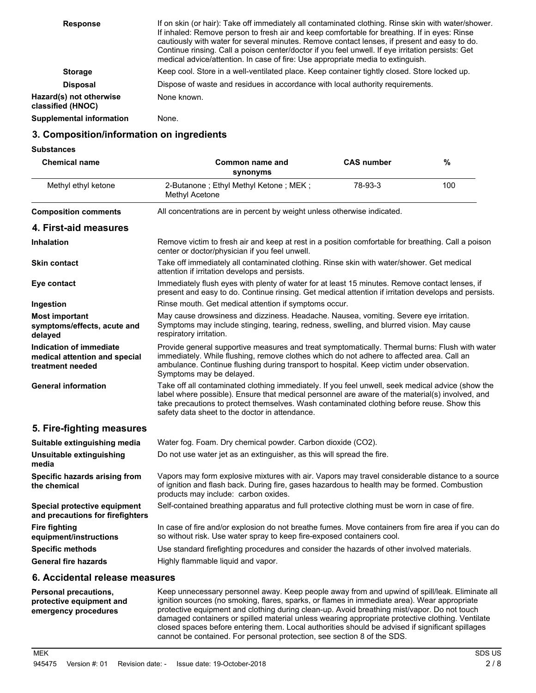| <b>Response</b>                              | If on skin (or hair): Take off immediately all contaminated clothing. Rinse skin with water/shower.<br>If inhaled: Remove person to fresh air and keep comfortable for breathing. If in eyes: Rinse<br>cautiously with water for several minutes. Remove contact lenses, if present and easy to do.<br>Continue rinsing. Call a poison center/doctor if you feel unwell. If eye irritation persists: Get<br>medical advice/attention. In case of fire: Use appropriate media to extinguish. |
|----------------------------------------------|---------------------------------------------------------------------------------------------------------------------------------------------------------------------------------------------------------------------------------------------------------------------------------------------------------------------------------------------------------------------------------------------------------------------------------------------------------------------------------------------|
| <b>Storage</b>                               | Keep cool. Store in a well-ventilated place. Keep container tightly closed. Store locked up.                                                                                                                                                                                                                                                                                                                                                                                                |
| <b>Disposal</b>                              | Dispose of waste and residues in accordance with local authority requirements.                                                                                                                                                                                                                                                                                                                                                                                                              |
| Hazard(s) not otherwise<br>classified (HNOC) | None known.                                                                                                                                                                                                                                                                                                                                                                                                                                                                                 |
| <b>Supplemental information</b>              | None.                                                                                                                                                                                                                                                                                                                                                                                                                                                                                       |

### **3. Composition/information on ingredients**

**Substances**

| <b>Chemical name</b>                                                                | Common name and<br>synonyms                                                                                                                                                                                                                                                                                                                          | <b>CAS number</b> | $\%$ |
|-------------------------------------------------------------------------------------|------------------------------------------------------------------------------------------------------------------------------------------------------------------------------------------------------------------------------------------------------------------------------------------------------------------------------------------------------|-------------------|------|
| Methyl ethyl ketone                                                                 | 2-Butanone; Ethyl Methyl Ketone; MEK;<br>Methyl Acetone                                                                                                                                                                                                                                                                                              | 78-93-3           | 100  |
| <b>Composition comments</b>                                                         | All concentrations are in percent by weight unless otherwise indicated.                                                                                                                                                                                                                                                                              |                   |      |
| 4. First-aid measures                                                               |                                                                                                                                                                                                                                                                                                                                                      |                   |      |
| <b>Inhalation</b>                                                                   | Remove victim to fresh air and keep at rest in a position comfortable for breathing. Call a poison<br>center or doctor/physician if you feel unwell.                                                                                                                                                                                                 |                   |      |
| <b>Skin contact</b>                                                                 | Take off immediately all contaminated clothing. Rinse skin with water/shower. Get medical<br>attention if irritation develops and persists.                                                                                                                                                                                                          |                   |      |
| Eye contact                                                                         | Immediately flush eyes with plenty of water for at least 15 minutes. Remove contact lenses, if<br>present and easy to do. Continue rinsing. Get medical attention if irritation develops and persists.                                                                                                                                               |                   |      |
| Ingestion                                                                           | Rinse mouth. Get medical attention if symptoms occur.                                                                                                                                                                                                                                                                                                |                   |      |
| <b>Most important</b><br>symptoms/effects, acute and<br>delayed                     | May cause drowsiness and dizziness. Headache. Nausea, vomiting. Severe eye irritation.<br>Symptoms may include stinging, tearing, redness, swelling, and blurred vision. May cause<br>respiratory irritation.                                                                                                                                        |                   |      |
| <b>Indication of immediate</b><br>medical attention and special<br>treatment needed | Provide general supportive measures and treat symptomatically. Thermal burns: Flush with water<br>immediately. While flushing, remove clothes which do not adhere to affected area. Call an<br>ambulance. Continue flushing during transport to hospital. Keep victim under observation.<br>Symptoms may be delayed.                                 |                   |      |
| <b>General information</b>                                                          | Take off all contaminated clothing immediately. If you feel unwell, seek medical advice (show the<br>label where possible). Ensure that medical personnel are aware of the material(s) involved, and<br>take precautions to protect themselves. Wash contaminated clothing before reuse. Show this<br>safety data sheet to the doctor in attendance. |                   |      |
| 5. Fire-fighting measures                                                           |                                                                                                                                                                                                                                                                                                                                                      |                   |      |
| Suitable extinguishing media                                                        | Water fog. Foam. Dry chemical powder. Carbon dioxide (CO2).                                                                                                                                                                                                                                                                                          |                   |      |
| <b>Unsuitable extinguishing</b><br>media                                            | Do not use water jet as an extinguisher, as this will spread the fire.                                                                                                                                                                                                                                                                               |                   |      |
| Specific hazards arising from<br>the chemical                                       | Vapors may form explosive mixtures with air. Vapors may travel considerable distance to a source<br>of ignition and flash back. During fire, gases hazardous to health may be formed. Combustion<br>products may include: carbon oxides.                                                                                                             |                   |      |
| Special protective equipment<br>and precautions for firefighters                    | Self-contained breathing apparatus and full protective clothing must be worn in case of fire.                                                                                                                                                                                                                                                        |                   |      |
| <b>Fire fighting</b><br>equipment/instructions                                      | In case of fire and/or explosion do not breathe fumes. Move containers from fire area if you can do<br>so without risk. Use water spray to keep fire-exposed containers cool.                                                                                                                                                                        |                   |      |
| <b>Specific methods</b>                                                             | Use standard firefighting procedures and consider the hazards of other involved materials.                                                                                                                                                                                                                                                           |                   |      |
| <b>General fire hazards</b>                                                         | Highly flammable liquid and vapor.                                                                                                                                                                                                                                                                                                                   |                   |      |

**6. Accidental release measures**

| Personal precautions,<br>protective equipment and<br>emergency procedures | Keep unnecessary personnel away. Keep people away from and upwind of spill/leak. Eliminate all<br>ignition sources (no smoking, flares, sparks, or flames in immediate area). Wear appropriate<br>protective equipment and clothing during clean-up. Avoid breathing mist/vapor. Do not touch<br>damaged containers or spilled material unless wearing appropriate protective clothing. Ventilate<br>closed spaces before entering them. Local authorities should be advised if significant spillages<br>cannot be contained. For personal protection, see section 8 of the SDS. |
|---------------------------------------------------------------------------|----------------------------------------------------------------------------------------------------------------------------------------------------------------------------------------------------------------------------------------------------------------------------------------------------------------------------------------------------------------------------------------------------------------------------------------------------------------------------------------------------------------------------------------------------------------------------------|
|                                                                           |                                                                                                                                                                                                                                                                                                                                                                                                                                                                                                                                                                                  |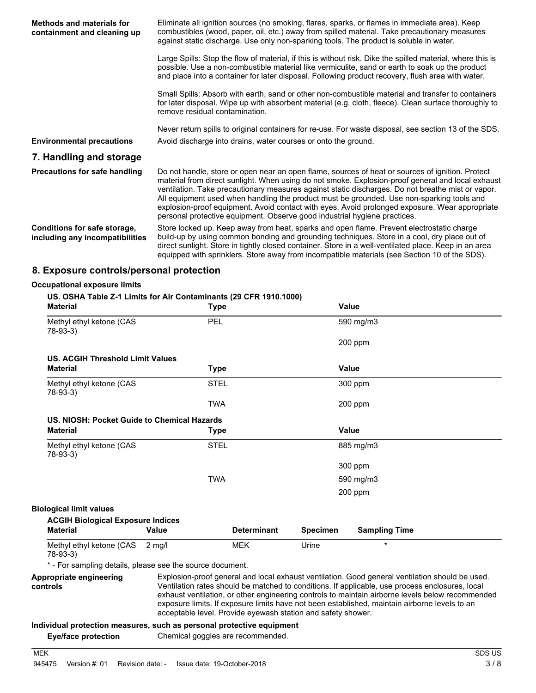| <b>Methods and materials for</b><br>containment and cleaning up | Eliminate all ignition sources (no smoking, flares, sparks, or flames in immediate area). Keep<br>combustibles (wood, paper, oil, etc.) away from spilled material. Take precautionary measures<br>against static discharge. Use only non-sparking tools. The product is soluble in water.                                                                                                                                                                                                                                                                                             |
|-----------------------------------------------------------------|----------------------------------------------------------------------------------------------------------------------------------------------------------------------------------------------------------------------------------------------------------------------------------------------------------------------------------------------------------------------------------------------------------------------------------------------------------------------------------------------------------------------------------------------------------------------------------------|
|                                                                 | Large Spills: Stop the flow of material, if this is without risk. Dike the spilled material, where this is<br>possible. Use a non-combustible material like vermiculite, sand or earth to soak up the product<br>and place into a container for later disposal. Following product recovery, flush area with water.                                                                                                                                                                                                                                                                     |
|                                                                 | Small Spills: Absorb with earth, sand or other non-combustible material and transfer to containers<br>for later disposal. Wipe up with absorbent material (e.g. cloth, fleece). Clean surface thoroughly to<br>remove residual contamination.                                                                                                                                                                                                                                                                                                                                          |
| <b>Environmental precautions</b>                                | Never return spills to original containers for re-use. For waste disposal, see section 13 of the SDS.<br>Avoid discharge into drains, water courses or onto the ground.                                                                                                                                                                                                                                                                                                                                                                                                                |
| 7. Handling and storage                                         |                                                                                                                                                                                                                                                                                                                                                                                                                                                                                                                                                                                        |
| Precautions for safe handling                                   | Do not handle, store or open near an open flame, sources of heat or sources of ignition. Protect<br>material from direct sunlight. When using do not smoke. Explosion-proof general and local exhaust<br>ventilation. Take precautionary measures against static discharges. Do not breathe mist or vapor.<br>All equipment used when handling the product must be grounded. Use non-sparking tools and<br>explosion-proof equipment. Avoid contact with eyes. Avoid prolonged exposure. Wear appropriate<br>personal protective equipment. Observe good industrial hygiene practices. |
| Conditions for safe storage,<br>including any incompatibilities | Store locked up. Keep away from heat, sparks and open flame. Prevent electrostatic charge<br>build-up by using common bonding and grounding techniques. Store in a cool, dry place out of<br>direct sunlight. Store in tightly closed container. Store in a well-ventilated place. Keep in an area<br>equipped with sprinklers. Store away from incompatible materials (see Section 10 of the SDS).                                                                                                                                                                                    |

### **8. Exposure controls/personal protection**

### **Occupational exposure limits**

#### **US. OSHA Table Z-1 Limits for Air Contaminants (29 CFR 1910.1000)**

| <b>Material</b>                                           | <b>Type</b>  |                    |                 | <b>Value</b>         |  |
|-----------------------------------------------------------|--------------|--------------------|-----------------|----------------------|--|
| Methyl ethyl ketone (CAS<br>78-93-3)                      | <b>PEL</b>   |                    |                 | 590 mg/m3            |  |
|                                                           |              |                    |                 | 200 ppm              |  |
| <b>US. ACGIH Threshold Limit Values</b>                   |              |                    |                 |                      |  |
| <b>Material</b>                                           | Type         |                    |                 | Value                |  |
| Methyl ethyl ketone (CAS<br>78-93-3)                      | <b>STEL</b>  |                    |                 | 300 ppm              |  |
|                                                           | <b>TWA</b>   |                    |                 | 200 ppm              |  |
| US. NIOSH: Pocket Guide to Chemical Hazards               |              |                    |                 |                      |  |
| <b>Material</b>                                           | Type         |                    |                 | <b>Value</b>         |  |
| Methyl ethyl ketone (CAS<br>78-93-3)                      | <b>STEL</b>  |                    |                 | 885 mg/m3            |  |
|                                                           |              |                    |                 | 300 ppm              |  |
|                                                           | <b>TWA</b>   |                    |                 | 590 mg/m3            |  |
|                                                           |              |                    |                 | 200 ppm              |  |
| <b>Biological limit values</b>                            |              |                    |                 |                      |  |
| <b>ACGIH Biological Exposure Indices</b>                  |              |                    |                 |                      |  |
| <b>Material</b>                                           | <b>Value</b> | <b>Determinant</b> | <b>Specimen</b> | <b>Sampling Time</b> |  |
| Methyl ethyl ketone (CAS<br>78-93-3)                      | 2 mg/l       | <b>MEK</b>         | Urine           | $\star$              |  |
| * - For sampling details, please see the source document. |              |                    |                 |                      |  |

mpling details, please see the source docu

| Appropriate engineering | Explosion-proof general and local exhaust ventilation. Good general ventilation should be used.  |
|-------------------------|--------------------------------------------------------------------------------------------------|
| controls                | Ventilation rates should be matched to conditions. If applicable, use process enclosures, local  |
|                         | exhaust ventilation, or other engineering controls to maintain airborne levels below recommended |
|                         | exposure limits. If exposure limits have not been established, maintain airborne levels to an    |
|                         | acceptable level. Provide eyewash station and safety shower.                                     |

### **Individual protection measures, such as personal protective equipment**

| <b>Eye/face protection</b> | Chemical goggles are recommended. |
|----------------------------|-----------------------------------|
|----------------------------|-----------------------------------|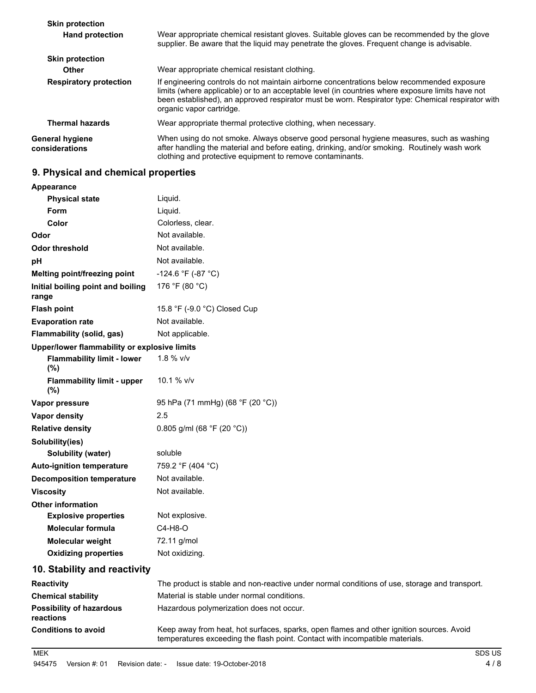| <b>Skin protection</b>                   |                                                                                                                                                                                                                                                                                                                                 |
|------------------------------------------|---------------------------------------------------------------------------------------------------------------------------------------------------------------------------------------------------------------------------------------------------------------------------------------------------------------------------------|
| <b>Hand protection</b>                   | Wear appropriate chemical resistant gloves. Suitable gloves can be recommended by the glove<br>supplier. Be aware that the liquid may penetrate the gloves. Frequent change is advisable.                                                                                                                                       |
| <b>Skin protection</b>                   |                                                                                                                                                                                                                                                                                                                                 |
| Other                                    | Wear appropriate chemical resistant clothing.                                                                                                                                                                                                                                                                                   |
| <b>Respiratory protection</b>            | If engineering controls do not maintain airborne concentrations below recommended exposure<br>limits (where applicable) or to an acceptable level (in countries where exposure limits have not<br>been established), an approved respirator must be worn. Respirator type: Chemical respirator with<br>organic vapor cartridge. |
| <b>Thermal hazards</b>                   | Wear appropriate thermal protective clothing, when necessary.                                                                                                                                                                                                                                                                   |
| <b>General hygiene</b><br>considerations | When using do not smoke. Always observe good personal hygiene measures, such as washing<br>after handling the material and before eating, drinking, and/or smoking. Routinely wash work<br>clothing and protective equipment to remove contaminants.                                                                            |

# **9. Physical and chemical properties**

| Appearance                                   |                                                                                                                                                                          |
|----------------------------------------------|--------------------------------------------------------------------------------------------------------------------------------------------------------------------------|
| <b>Physical state</b>                        | Liquid.                                                                                                                                                                  |
| <b>Form</b>                                  | Liquid.                                                                                                                                                                  |
| Color                                        | Colorless, clear.                                                                                                                                                        |
| Odor                                         | Not available.                                                                                                                                                           |
| <b>Odor threshold</b>                        | Not available.                                                                                                                                                           |
| рH                                           | Not available.                                                                                                                                                           |
| Melting point/freezing point                 | -124.6 °F (-87 °C)                                                                                                                                                       |
| Initial boiling point and boiling<br>range   | 176 °F (80 °C)                                                                                                                                                           |
| <b>Flash point</b>                           | 15.8 °F (-9.0 °C) Closed Cup                                                                                                                                             |
| <b>Evaporation rate</b>                      | Not available.                                                                                                                                                           |
| Flammability (solid, gas)                    | Not applicable.                                                                                                                                                          |
| Upper/lower flammability or explosive limits |                                                                                                                                                                          |
| <b>Flammability limit - lower</b><br>$(\%)$  | 1.8 % v/v                                                                                                                                                                |
| <b>Flammability limit - upper</b><br>(%)     | 10.1 % v/v                                                                                                                                                               |
| Vapor pressure                               | 95 hPa (71 mmHg) (68 °F (20 °C))                                                                                                                                         |
| Vapor density                                | 2.5                                                                                                                                                                      |
| <b>Relative density</b>                      | 0.805 g/ml (68 °F (20 °C))                                                                                                                                               |
| Solubility(ies)                              |                                                                                                                                                                          |
| <b>Solubility (water)</b>                    | soluble                                                                                                                                                                  |
| <b>Auto-ignition temperature</b>             | 759.2 °F (404 °C)                                                                                                                                                        |
| <b>Decomposition temperature</b>             | Not available.                                                                                                                                                           |
| <b>Viscosity</b>                             | Not available.                                                                                                                                                           |
| <b>Other information</b>                     |                                                                                                                                                                          |
| <b>Explosive properties</b>                  | Not explosive.                                                                                                                                                           |
| <b>Molecular formula</b>                     | C4-H8-O                                                                                                                                                                  |
| Molecular weight                             | 72.11 g/mol                                                                                                                                                              |
| <b>Oxidizing properties</b>                  | Not oxidizing.                                                                                                                                                           |
| 10. Stability and reactivity                 |                                                                                                                                                                          |
| <b>Reactivity</b>                            | The product is stable and non-reactive under normal conditions of use, storage and transport.                                                                            |
| <b>Chemical stability</b>                    | Material is stable under normal conditions.                                                                                                                              |
| <b>Possibility of hazardous</b><br>reactions | Hazardous polymerization does not occur.                                                                                                                                 |
| <b>Conditions to avoid</b>                   | Keep away from heat, hot surfaces, sparks, open flames and other ignition sources. Avoid<br>temperatures exceeding the flash point. Contact with incompatible materials. |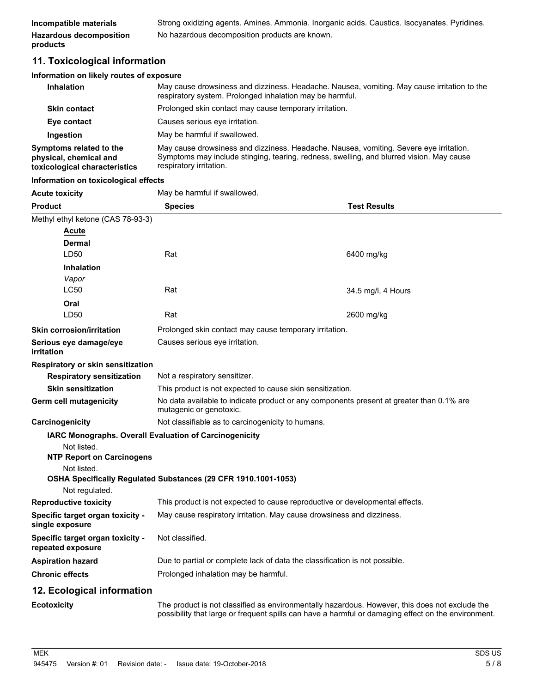| Incompatible materials         | Strong oxidizing agents. Amines. Ammonia. Inorganic acids. Caustics. Isocyanates. Pyridines. |
|--------------------------------|----------------------------------------------------------------------------------------------|
| <b>Hazardous decomposition</b> | No hazardous decomposition products are known.                                               |
| products                       |                                                                                              |

# **11. Toxicological information**

### **Information on likely routes of exposure**

| Inhalation                                                                         | May cause drowsiness and dizziness. Headache. Nausea, vomiting. May cause irritation to the<br>respiratory system. Prolonged inhalation may be harmful.                                                       |
|------------------------------------------------------------------------------------|---------------------------------------------------------------------------------------------------------------------------------------------------------------------------------------------------------------|
| <b>Skin contact</b>                                                                | Prolonged skin contact may cause temporary irritation.                                                                                                                                                        |
| Eye contact                                                                        | Causes serious eve irritation.                                                                                                                                                                                |
| Ingestion                                                                          | May be harmful if swallowed.                                                                                                                                                                                  |
| Symptoms related to the<br>physical, chemical and<br>toxicological characteristics | May cause drowsiness and dizziness. Headache. Nausea, vomiting. Severe eye irritation.<br>Symptoms may include stinging, tearing, redness, swelling, and blurred vision. May cause<br>respiratory irritation. |

#### **Information on toxicological effects**

| <b>Acute toxicity</b>                                 | May be harmful if swallowed.                                                                                                                                                                          |                     |  |
|-------------------------------------------------------|-------------------------------------------------------------------------------------------------------------------------------------------------------------------------------------------------------|---------------------|--|
| <b>Product</b>                                        | <b>Species</b>                                                                                                                                                                                        | <b>Test Results</b> |  |
| Methyl ethyl ketone (CAS 78-93-3)                     |                                                                                                                                                                                                       |                     |  |
| Acute                                                 |                                                                                                                                                                                                       |                     |  |
| Dermal                                                |                                                                                                                                                                                                       |                     |  |
| LD50                                                  | Rat                                                                                                                                                                                                   | 6400 mg/kg          |  |
| <b>Inhalation</b>                                     |                                                                                                                                                                                                       |                     |  |
| Vapor                                                 |                                                                                                                                                                                                       |                     |  |
| <b>LC50</b>                                           | Rat                                                                                                                                                                                                   | 34.5 mg/l, 4 Hours  |  |
| Oral<br>LD50                                          |                                                                                                                                                                                                       |                     |  |
|                                                       | Rat                                                                                                                                                                                                   | 2600 mg/kg          |  |
| <b>Skin corrosion/irritation</b>                      | Prolonged skin contact may cause temporary irritation.                                                                                                                                                |                     |  |
| Serious eye damage/eye<br>irritation                  | Causes serious eye irritation.                                                                                                                                                                        |                     |  |
| Respiratory or skin sensitization                     |                                                                                                                                                                                                       |                     |  |
| <b>Respiratory sensitization</b>                      | Not a respiratory sensitizer.                                                                                                                                                                         |                     |  |
| <b>Skin sensitization</b>                             | This product is not expected to cause skin sensitization.                                                                                                                                             |                     |  |
| Germ cell mutagenicity                                | No data available to indicate product or any components present at greater than 0.1% are<br>mutagenic or genotoxic.                                                                                   |                     |  |
| Carcinogenicity                                       | Not classifiable as to carcinogenicity to humans.                                                                                                                                                     |                     |  |
|                                                       | IARC Monographs. Overall Evaluation of Carcinogenicity                                                                                                                                                |                     |  |
| Not listed.<br><b>NTP Report on Carcinogens</b>       |                                                                                                                                                                                                       |                     |  |
| Not listed.                                           |                                                                                                                                                                                                       |                     |  |
| Not regulated.                                        | OSHA Specifically Regulated Substances (29 CFR 1910.1001-1053)                                                                                                                                        |                     |  |
| <b>Reproductive toxicity</b>                          | This product is not expected to cause reproductive or developmental effects.                                                                                                                          |                     |  |
| Specific target organ toxicity -<br>single exposure   | May cause respiratory irritation. May cause drowsiness and dizziness.                                                                                                                                 |                     |  |
| Specific target organ toxicity -<br>repeated exposure | Not classified.                                                                                                                                                                                       |                     |  |
| <b>Aspiration hazard</b>                              | Due to partial or complete lack of data the classification is not possible.                                                                                                                           |                     |  |
| <b>Chronic effects</b>                                | Prolonged inhalation may be harmful.                                                                                                                                                                  |                     |  |
| 12. Ecological information                            |                                                                                                                                                                                                       |                     |  |
| <b>Ecotoxicity</b>                                    | The product is not classified as environmentally hazardous. However, this does not exclude the<br>possibility that large or frequent spills can have a harmful or damaging effect on the environment. |                     |  |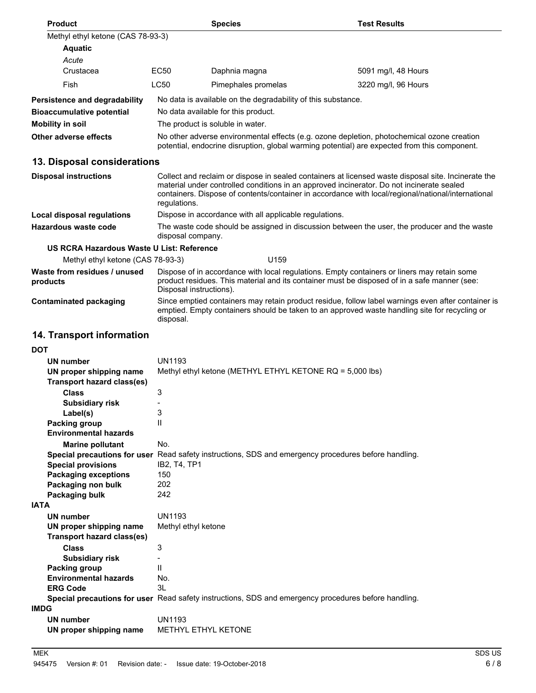| Product                                               |                                                                                                                                                                                            | <b>Species</b>                                               | <b>Test Results</b>                                                                                                                                                                                                                                                                                    |  |
|-------------------------------------------------------|--------------------------------------------------------------------------------------------------------------------------------------------------------------------------------------------|--------------------------------------------------------------|--------------------------------------------------------------------------------------------------------------------------------------------------------------------------------------------------------------------------------------------------------------------------------------------------------|--|
| Methyl ethyl ketone (CAS 78-93-3)                     |                                                                                                                                                                                            |                                                              |                                                                                                                                                                                                                                                                                                        |  |
| <b>Aquatic</b>                                        |                                                                                                                                                                                            |                                                              |                                                                                                                                                                                                                                                                                                        |  |
| Acute                                                 |                                                                                                                                                                                            |                                                              |                                                                                                                                                                                                                                                                                                        |  |
| Crustacea                                             | EC50                                                                                                                                                                                       | Daphnia magna                                                | 5091 mg/l, 48 Hours                                                                                                                                                                                                                                                                                    |  |
| Fish                                                  | LC50                                                                                                                                                                                       | Pimephales promelas                                          | 3220 mg/l, 96 Hours                                                                                                                                                                                                                                                                                    |  |
| Persistence and degradability                         |                                                                                                                                                                                            | No data is available on the degradability of this substance. |                                                                                                                                                                                                                                                                                                        |  |
| <b>Bioaccumulative potential</b>                      |                                                                                                                                                                                            | No data available for this product.                          |                                                                                                                                                                                                                                                                                                        |  |
| <b>Mobility in soil</b>                               |                                                                                                                                                                                            | The product is soluble in water.                             |                                                                                                                                                                                                                                                                                                        |  |
| Other adverse effects                                 | No other adverse environmental effects (e.g. ozone depletion, photochemical ozone creation<br>potential, endocrine disruption, global warming potential) are expected from this component. |                                                              |                                                                                                                                                                                                                                                                                                        |  |
| 13. Disposal considerations                           |                                                                                                                                                                                            |                                                              |                                                                                                                                                                                                                                                                                                        |  |
| <b>Disposal instructions</b>                          | regulations.                                                                                                                                                                               |                                                              | Collect and reclaim or dispose in sealed containers at licensed waste disposal site. Incinerate the<br>material under controlled conditions in an approved incinerator. Do not incinerate sealed<br>containers. Dispose of contents/container in accordance with local/regional/national/international |  |
| Local disposal regulations                            |                                                                                                                                                                                            | Dispose in accordance with all applicable regulations.       |                                                                                                                                                                                                                                                                                                        |  |
| Hazardous waste code                                  | disposal company.                                                                                                                                                                          |                                                              | The waste code should be assigned in discussion between the user, the producer and the waste                                                                                                                                                                                                           |  |
| US RCRA Hazardous Waste U List: Reference             |                                                                                                                                                                                            |                                                              |                                                                                                                                                                                                                                                                                                        |  |
| Methyl ethyl ketone (CAS 78-93-3)                     |                                                                                                                                                                                            | U <sub>159</sub>                                             |                                                                                                                                                                                                                                                                                                        |  |
| Waste from residues / unused<br>products              | Disposal instructions).                                                                                                                                                                    |                                                              | Dispose of in accordance with local regulations. Empty containers or liners may retain some<br>product residues. This material and its container must be disposed of in a safe manner (see:                                                                                                            |  |
| <b>Contaminated packaging</b>                         | disposal.                                                                                                                                                                                  |                                                              | Since emptied containers may retain product residue, follow label warnings even after container is<br>emptied. Empty containers should be taken to an approved waste handling site for recycling or                                                                                                    |  |
| 14. Transport information                             |                                                                                                                                                                                            |                                                              |                                                                                                                                                                                                                                                                                                        |  |
| <b>DOT</b>                                            |                                                                                                                                                                                            |                                                              |                                                                                                                                                                                                                                                                                                        |  |
| <b>UN number</b>                                      | <b>UN1193</b>                                                                                                                                                                              |                                                              |                                                                                                                                                                                                                                                                                                        |  |
| UN proper shipping name<br>Transport hazard class(es) |                                                                                                                                                                                            | Methyl ethyl ketone (METHYL ETHYL KETONE RQ = 5,000 lbs)     |                                                                                                                                                                                                                                                                                                        |  |
| <b>Class</b>                                          | 3                                                                                                                                                                                          |                                                              |                                                                                                                                                                                                                                                                                                        |  |
| <b>Subsidiary risk</b>                                | っ                                                                                                                                                                                          |                                                              |                                                                                                                                                                                                                                                                                                        |  |
| Label(s)<br><b>Packing group</b>                      | Ш                                                                                                                                                                                          |                                                              |                                                                                                                                                                                                                                                                                                        |  |
| <b>Environmental hazards</b>                          |                                                                                                                                                                                            |                                                              |                                                                                                                                                                                                                                                                                                        |  |
| <b>Marine pollutant</b>                               | No.                                                                                                                                                                                        |                                                              |                                                                                                                                                                                                                                                                                                        |  |
|                                                       |                                                                                                                                                                                            |                                                              | Special precautions for user Read safety instructions, SDS and emergency procedures before handling.                                                                                                                                                                                                   |  |
| <b>Special provisions</b>                             | IB2, T4, TP1                                                                                                                                                                               |                                                              |                                                                                                                                                                                                                                                                                                        |  |
| <b>Packaging exceptions</b>                           | 150<br>202                                                                                                                                                                                 |                                                              |                                                                                                                                                                                                                                                                                                        |  |
| Packaging non bulk<br>Packaging bulk                  | 242                                                                                                                                                                                        |                                                              |                                                                                                                                                                                                                                                                                                        |  |
| <b>IATA</b>                                           |                                                                                                                                                                                            |                                                              |                                                                                                                                                                                                                                                                                                        |  |
| UN number                                             | <b>UN1193</b>                                                                                                                                                                              |                                                              |                                                                                                                                                                                                                                                                                                        |  |
| UN proper shipping name<br>Transport hazard class(es) | Methyl ethyl ketone                                                                                                                                                                        |                                                              |                                                                                                                                                                                                                                                                                                        |  |
| <b>Class</b>                                          | 3                                                                                                                                                                                          |                                                              |                                                                                                                                                                                                                                                                                                        |  |
| <b>Subsidiary risk</b>                                |                                                                                                                                                                                            |                                                              |                                                                                                                                                                                                                                                                                                        |  |
| <b>Packing group</b>                                  | Ш                                                                                                                                                                                          |                                                              |                                                                                                                                                                                                                                                                                                        |  |
| <b>Environmental hazards</b><br><b>ERG Code</b>       | No.<br>3L                                                                                                                                                                                  |                                                              |                                                                                                                                                                                                                                                                                                        |  |
|                                                       |                                                                                                                                                                                            |                                                              | Special precautions for user Read safety instructions, SDS and emergency procedures before handling.                                                                                                                                                                                                   |  |
| <b>IMDG</b>                                           |                                                                                                                                                                                            |                                                              |                                                                                                                                                                                                                                                                                                        |  |
| <b>UN number</b>                                      | <b>UN1193</b>                                                                                                                                                                              |                                                              |                                                                                                                                                                                                                                                                                                        |  |
| UN proper shipping name                               |                                                                                                                                                                                            | METHYL ETHYL KETONE                                          |                                                                                                                                                                                                                                                                                                        |  |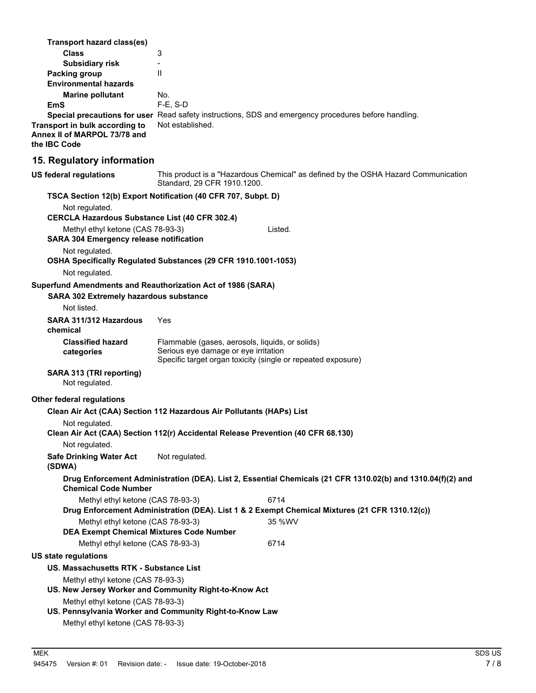| Transport hazard class(es)                                                                            |                                                                                                                                                         |                                                                                                             |
|-------------------------------------------------------------------------------------------------------|---------------------------------------------------------------------------------------------------------------------------------------------------------|-------------------------------------------------------------------------------------------------------------|
| <b>Class</b>                                                                                          | 3                                                                                                                                                       |                                                                                                             |
| <b>Subsidiary risk</b>                                                                                | $\overline{\phantom{0}}$                                                                                                                                |                                                                                                             |
| <b>Packing group</b><br><b>Environmental hazards</b>                                                  | $\mathsf{I}$                                                                                                                                            |                                                                                                             |
| <b>Marine pollutant</b>                                                                               | No.                                                                                                                                                     |                                                                                                             |
| <b>EmS</b>                                                                                            | $F-E$ , S-D                                                                                                                                             |                                                                                                             |
| Transport in bulk according to<br>Annex II of MARPOL 73/78 and<br>the IBC Code                        | Not established.                                                                                                                                        | Special precautions for user Read safety instructions, SDS and emergency procedures before handling.        |
| 15. Regulatory information                                                                            |                                                                                                                                                         |                                                                                                             |
| <b>US federal regulations</b>                                                                         | Standard, 29 CFR 1910.1200.                                                                                                                             | This product is a "Hazardous Chemical" as defined by the OSHA Hazard Communication                          |
|                                                                                                       | TSCA Section 12(b) Export Notification (40 CFR 707, Subpt. D)                                                                                           |                                                                                                             |
| Not regulated.<br><b>CERCLA Hazardous Substance List (40 CFR 302.4)</b>                               |                                                                                                                                                         |                                                                                                             |
| Methyl ethyl ketone (CAS 78-93-3)                                                                     |                                                                                                                                                         | Listed.                                                                                                     |
| <b>SARA 304 Emergency release notification</b>                                                        |                                                                                                                                                         |                                                                                                             |
| Not regulated.                                                                                        | OSHA Specifically Regulated Substances (29 CFR 1910.1001-1053)                                                                                          |                                                                                                             |
| Not regulated.                                                                                        |                                                                                                                                                         |                                                                                                             |
| Superfund Amendments and Reauthorization Act of 1986 (SARA)<br>SARA 302 Extremely hazardous substance |                                                                                                                                                         |                                                                                                             |
| Not listed.                                                                                           |                                                                                                                                                         |                                                                                                             |
| SARA 311/312 Hazardous<br>chemical                                                                    | Yes                                                                                                                                                     |                                                                                                             |
| <b>Classified hazard</b><br>categories                                                                | Flammable (gases, aerosols, liquids, or solids)<br>Serious eye damage or eye irritation<br>Specific target organ toxicity (single or repeated exposure) |                                                                                                             |
| SARA 313 (TRI reporting)<br>Not regulated.                                                            |                                                                                                                                                         |                                                                                                             |
| Other federal regulations                                                                             |                                                                                                                                                         |                                                                                                             |
|                                                                                                       | Clean Air Act (CAA) Section 112 Hazardous Air Pollutants (HAPs) List                                                                                    |                                                                                                             |
| Not regulated.                                                                                        | Clean Air Act (CAA) Section 112(r) Accidental Release Prevention (40 CFR 68.130)                                                                        |                                                                                                             |
| Not regulated.                                                                                        |                                                                                                                                                         |                                                                                                             |
| <b>Safe Drinking Water Act</b><br>(SDWA)                                                              | Not regulated.                                                                                                                                          |                                                                                                             |
| <b>Chemical Code Number</b>                                                                           |                                                                                                                                                         | Drug Enforcement Administration (DEA). List 2, Essential Chemicals (21 CFR 1310.02(b) and 1310.04(f)(2) and |
| Methyl ethyl ketone (CAS 78-93-3)                                                                     |                                                                                                                                                         |                                                                                                             |
|                                                                                                       |                                                                                                                                                         | 6714<br>Drug Enforcement Administration (DEA). List 1 & 2 Exempt Chemical Mixtures (21 CFR 1310.12(c))      |
| Methyl ethyl ketone (CAS 78-93-3)<br><b>DEA Exempt Chemical Mixtures Code Number</b>                  |                                                                                                                                                         | 35 %WV                                                                                                      |
| Methyl ethyl ketone (CAS 78-93-3)                                                                     |                                                                                                                                                         | 6714                                                                                                        |
| <b>US state regulations</b>                                                                           |                                                                                                                                                         |                                                                                                             |
| US. Massachusetts RTK - Substance List                                                                |                                                                                                                                                         |                                                                                                             |
| Methyl ethyl ketone (CAS 78-93-3)                                                                     |                                                                                                                                                         |                                                                                                             |
|                                                                                                       | US. New Jersey Worker and Community Right-to-Know Act                                                                                                   |                                                                                                             |
| Methyl ethyl ketone (CAS 78-93-3)<br>Methyl ethyl ketone (CAS 78-93-3)                                | US. Pennsylvania Worker and Community Right-to-Know Law                                                                                                 |                                                                                                             |